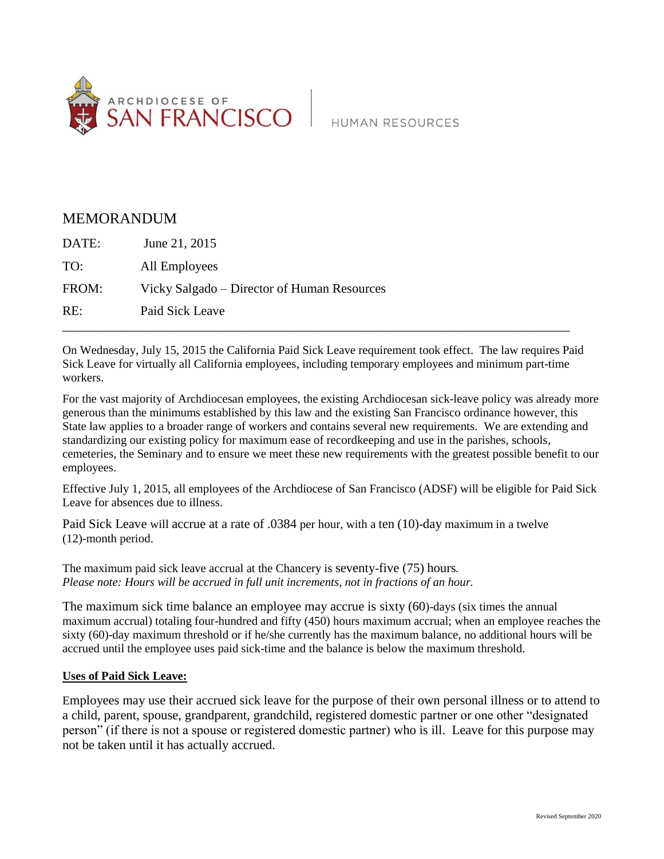

## MEMORANDUM

| DATE: | June 21, 2015                               |
|-------|---------------------------------------------|
| TO:   | All Employees                               |
| FROM: | Vicky Salgado – Director of Human Resources |
| RE:   | Paid Sick Leave                             |
|       |                                             |

On Wednesday, July 15, 2015 the California Paid Sick Leave requirement took effect. The law requires Paid Sick Leave for virtually all California employees, including temporary employees and minimum part-time workers.

For the vast majority of Archdiocesan employees, the existing Archdiocesan sick-leave policy was already more generous than the minimums established by this law and the existing San Francisco ordinance however, this State law applies to a broader range of workers and contains several new requirements. We are extending and standardizing our existing policy for maximum ease of recordkeeping and use in the parishes, schools, cemeteries, the Seminary and to ensure we meet these new requirements with the greatest possible benefit to our employees.

Effective July 1, 2015, all employees of the Archdiocese of San Francisco (ADSF) will be eligible for Paid Sick Leave for absences due to illness.

Paid Sick Leave will accrue at a rate of .0384 per hour, with a ten (10)-day maximum in a twelve (12)-month period.

The maximum paid sick leave accrual at the Chancery is seventy-five (75) hours**.**  *Please note: Hours will be accrued in full unit increments, not in fractions of an hour.*

The maximum sick time balance an employee may accrue is sixty (60)-days (six times the annual maximum accrual) totaling four-hundred and fifty (450) hours maximum accrual; when an employee reaches the sixty (60)-day maximum threshold or if he/she currently has the maximum balance, no additional hours will be accrued until the employee uses paid sick-time and the balance is below the maximum threshold.

## **Uses of Paid Sick Leave:**

Employees may use their accrued sick leave for the purpose of their own personal illness or to attend to a child, parent, spouse, grandparent, grandchild, registered domestic partner or one other "designated person" (if there is not a spouse or registered domestic partner) who is ill. Leave for this purpose may not be taken until it has actually accrued.